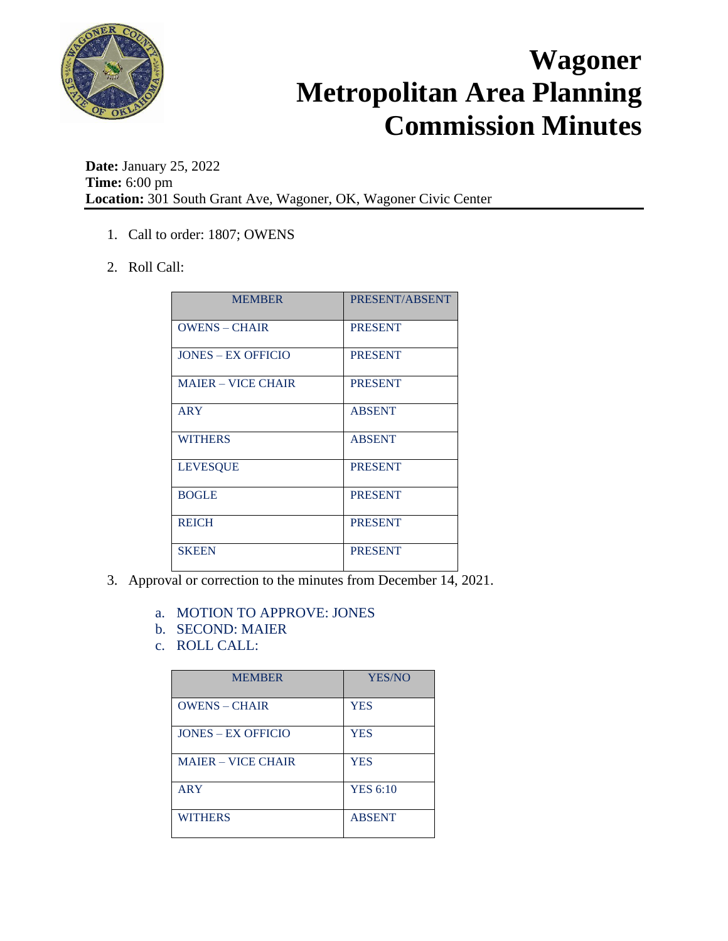

**Date:** January 25, 2022 **Time:** 6:00 pm **Location:** 301 South Grant Ave, Wagoner, OK, Wagoner Civic Center

- 1. Call to order: 1807; OWENS
- 2. Roll Call:

| <b>MEMBER</b>             | PRESENT/ABSENT |
|---------------------------|----------------|
| <b>OWENS - CHAIR</b>      | <b>PRESENT</b> |
| <b>JONES – EX OFFICIO</b> | <b>PRESENT</b> |
| <b>MAJER – VICE CHAIR</b> | <b>PRESENT</b> |
| ARY                       | <b>ABSENT</b>  |
| <b>WITHERS</b>            | <b>ABSENT</b>  |
| <b>LEVESQUE</b>           | <b>PRESENT</b> |
| <b>BOGLE</b>              | <b>PRESENT</b> |
| <b>REICH</b>              | <b>PRESENT</b> |
| <b>SKEEN</b>              | <b>PRESENT</b> |

- 3. Approval or correction to the minutes from December 14, 2021.
	- a. MOTION TO APPROVE: JONES
	- b. SECOND: MAIER
	- c. ROLL CALL:

| <b>MEMBER</b>             | YES/NO          |
|---------------------------|-----------------|
| <b>OWENS – CHAIR</b>      | <b>YES</b>      |
| <b>JONES – EX OFFICIO</b> | <b>YES</b>      |
| <b>MAJER – VICE CHAIR</b> | <b>YES</b>      |
| <b>ARY</b>                | <b>YES 6:10</b> |
| <b>WITHERS</b>            | <b>ABSENT</b>   |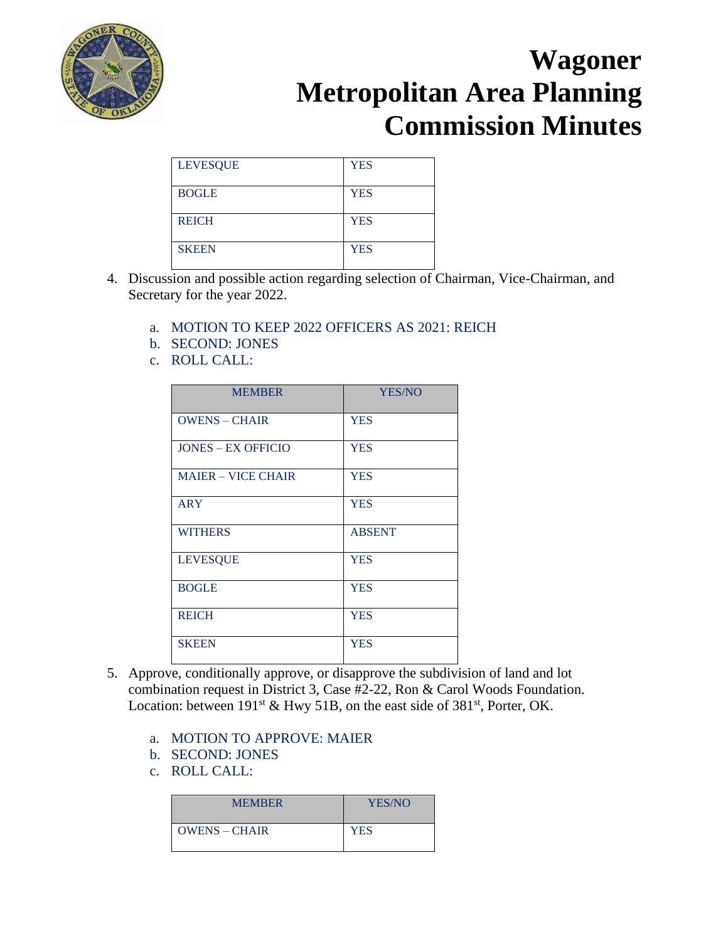

| <b>LEVESQUE</b> | <b>YES</b> |
|-----------------|------------|
| <b>BOGLE</b>    | <b>YES</b> |
| <b>REICH</b>    | <b>YES</b> |
| <b>SKEEN</b>    | <b>YES</b> |

- 4. Discussion and possible action regarding selection of Chairman, Vice-Chairman, and Secretary for the year 2022.
	- a. MOTION TO KEEP 2022 OFFICERS AS 2021: REICH
	- b. SECOND: JONES
	- c. ROLL CALL:

| <b>MEMBER</b>             | <b>YES/NO</b> |
|---------------------------|---------------|
| <b>OWENS - CHAIR</b>      | <b>YES</b>    |
| <b>JONES – EX OFFICIO</b> | <b>YES</b>    |
| <b>MAIER - VICE CHAIR</b> | <b>YES</b>    |
| <b>ARY</b>                | <b>YES</b>    |
| <b>WITHERS</b>            | <b>ABSENT</b> |
| <b>LEVESQUE</b>           | <b>YES</b>    |
| <b>BOGLE</b>              | <b>YES</b>    |
| <b>REICH</b>              | <b>YES</b>    |
| <b>SKEEN</b>              | <b>YES</b>    |

- 5. Approve, conditionally approve, or disapprove the subdivision of land and lot combination request in District 3, Case #2-22, Ron & Carol Woods Foundation. Location: between  $191^{st}$  & Hwy 51B, on the east side of 381<sup>st</sup>, Porter, OK.
	- a. MOTION TO APPROVE: MAIER
	- b. SECOND: JONES
	- c. ROLL CALL:

| <b>MEMBER</b>   | YES/NO |
|-----------------|--------|
| $OWENS - CHAIR$ | YES    |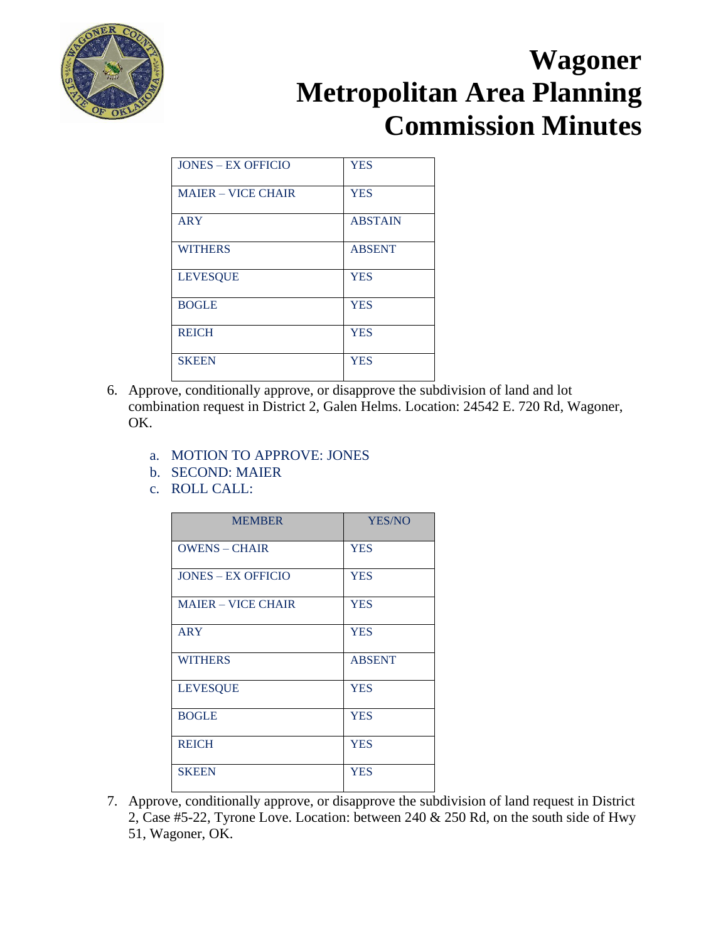

| <b>JONES – EX OFFICIO</b> | <b>YES</b>     |
|---------------------------|----------------|
| <b>MAIER - VICE CHAIR</b> | <b>YES</b>     |
| <b>ARY</b>                | <b>ABSTAIN</b> |
| <b>WITHERS</b>            | <b>ABSENT</b>  |
| <b>LEVESQUE</b>           | <b>YES</b>     |
| <b>BOGLE</b>              | <b>YES</b>     |
| <b>REICH</b>              | <b>YES</b>     |
| <b>SKEEN</b>              | <b>YES</b>     |

- 6. Approve, conditionally approve, or disapprove the subdivision of land and lot combination request in District 2, Galen Helms. Location: 24542 E. 720 Rd, Wagoner, OK.
	- a. MOTION TO APPROVE: JONES
	- b. SECOND: MAIER
	- c. ROLL CALL:

| <b>MEMBER</b>             | YES/NO        |
|---------------------------|---------------|
| <b>OWENS - CHAIR</b>      | <b>YES</b>    |
| <b>JONES – EX OFFICIO</b> | <b>YES</b>    |
| <b>MAJER – VICE CHAIR</b> | <b>YES</b>    |
| <b>ARY</b>                | <b>YES</b>    |
| <b>WITHERS</b>            | <b>ABSENT</b> |
| <b>LEVESQUE</b>           | <b>YES</b>    |
| <b>BOGLE</b>              | <b>YES</b>    |
| <b>REICH</b>              | <b>YES</b>    |
| <b>SKEEN</b>              | <b>YES</b>    |

7. Approve, conditionally approve, or disapprove the subdivision of land request in District 2, Case #5-22, Tyrone Love. Location: between 240 & 250 Rd, on the south side of Hwy 51, Wagoner, OK.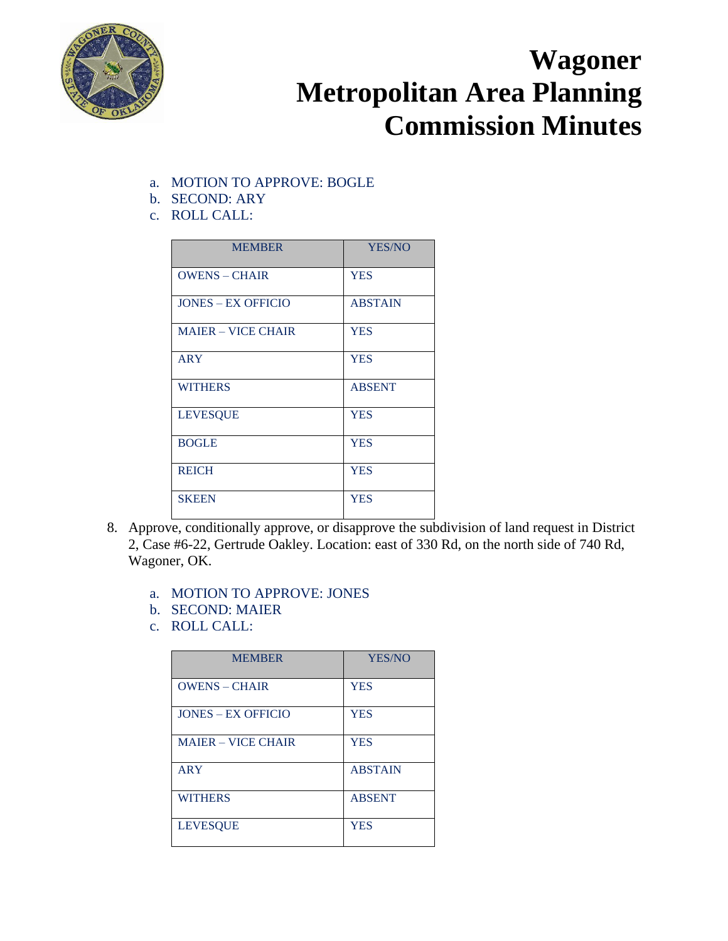

- a. MOTION TO APPROVE: BOGLE
- b. SECOND: ARY
- c. ROLL CALL:

| <b>MEMBER</b>             | <b>YES/NO</b>  |
|---------------------------|----------------|
| <b>OWENS - CHAIR</b>      | <b>YES</b>     |
| <b>JONES – EX OFFICIO</b> | <b>ABSTAIN</b> |
| <b>MAJER – VICE CHAIR</b> | <b>YES</b>     |
| <b>ARY</b>                | <b>YES</b>     |
| <b>WITHERS</b>            | <b>ABSENT</b>  |
| <b>LEVESQUE</b>           | <b>YES</b>     |
| <b>BOGLE</b>              | <b>YES</b>     |
| <b>REICH</b>              | <b>YES</b>     |
| <b>SKEEN</b>              | <b>YES</b>     |

- 8. Approve, conditionally approve, or disapprove the subdivision of land request in District 2, Case #6-22, Gertrude Oakley. Location: east of 330 Rd, on the north side of 740 Rd, Wagoner, OK.
	- a. MOTION TO APPROVE: JONES
	- b. SECOND: MAIER
	- c. ROLL CALL:

| <b>MEMBER</b>             | YES/NO         |
|---------------------------|----------------|
| <b>OWENS - CHAIR</b>      | <b>YES</b>     |
| <b>JONES – EX OFFICIO</b> | <b>YES</b>     |
| <b>MAJER – VICE CHAIR</b> | <b>YES</b>     |
| <b>ARY</b>                | <b>ABSTAIN</b> |
| <b>WITHERS</b>            | <b>ABSENT</b>  |
| <b>LEVESQUE</b>           | <b>YES</b>     |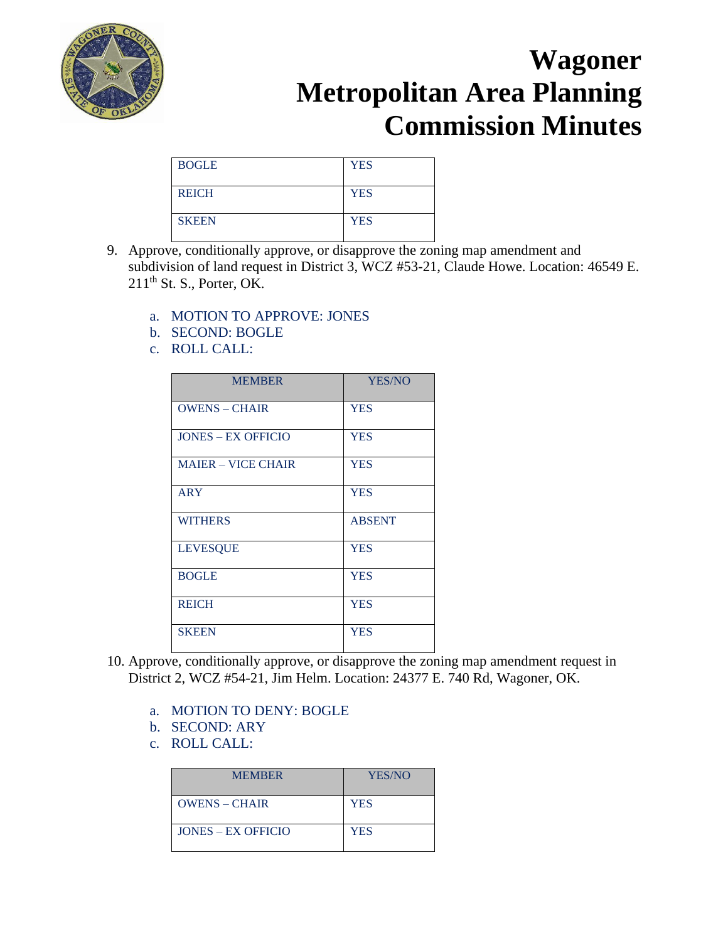

| <b>BOGLE</b> | <b>YES</b> |
|--------------|------------|
| <b>REICH</b> | <b>YES</b> |
| <b>SKEEN</b> | <b>YES</b> |

- 9. Approve, conditionally approve, or disapprove the zoning map amendment and subdivision of land request in District 3, WCZ #53-21, Claude Howe. Location: 46549 E.  $211<sup>th</sup>$  St. S., Porter, OK.
	- a. MOTION TO APPROVE: JONES
	- b. SECOND: BOGLE
	- c. ROLL CALL:

| <b>MEMBER</b>             | YES/NO        |
|---------------------------|---------------|
| <b>OWENS - CHAIR</b>      | <b>YES</b>    |
| <b>JONES – EX OFFICIO</b> | <b>YES</b>    |
| <b>MAJER – VICE CHAIR</b> | <b>YES</b>    |
| <b>ARY</b>                | <b>YES</b>    |
| <b>WITHERS</b>            | <b>ABSENT</b> |
| <b>LEVESQUE</b>           | <b>YES</b>    |
| <b>BOGLE</b>              | <b>YES</b>    |
| <b>REICH</b>              | <b>YES</b>    |
| <b>SKEEN</b>              | <b>YES</b>    |

- 10. Approve, conditionally approve, or disapprove the zoning map amendment request in District 2, WCZ #54-21, Jim Helm. Location: 24377 E. 740 Rd, Wagoner, OK.
	- a. MOTION TO DENY: BOGLE
	- b. SECOND: ARY
	- c. ROLL CALL:

| <b>MEMBER</b>        | YES/NO     |
|----------------------|------------|
| $OWENS - CHAIR$      | <b>YES</b> |
| $JONES - EX$ OFFICIO | YES        |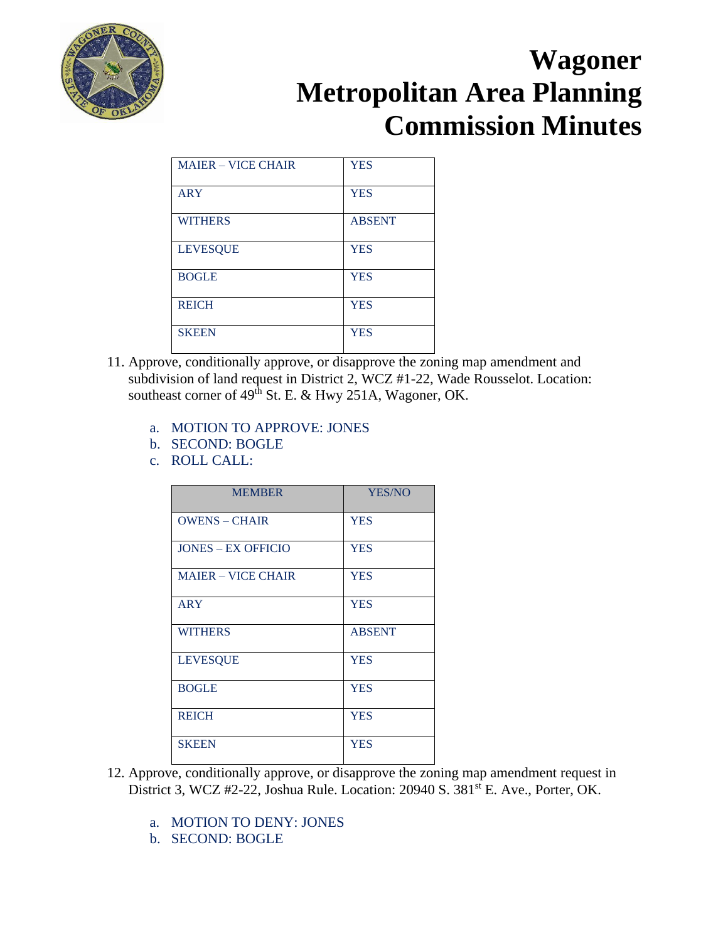

| <b>MAJER – VICE CHAIR</b> | <b>YES</b>    |
|---------------------------|---------------|
| <b>ARY</b>                | <b>YES</b>    |
| <b>WITHERS</b>            | <b>ABSENT</b> |
| <b>LEVESQUE</b>           | <b>YES</b>    |
| <b>BOGLE</b>              | <b>YES</b>    |
| <b>REICH</b>              | <b>YES</b>    |
| <b>SKEEN</b>              | <b>YES</b>    |

- 11. Approve, conditionally approve, or disapprove the zoning map amendment and subdivision of land request in District 2, WCZ #1-22, Wade Rousselot. Location: southeast corner of 49<sup>th</sup> St. E. & Hwy 251A, Wagoner, OK.
	- a. MOTION TO APPROVE: JONES
	- b. SECOND: BOGLE
	- c. ROLL CALL:

| <b>MEMBER</b>             | <b>YES/NO</b> |
|---------------------------|---------------|
| <b>OWENS - CHAIR</b>      | <b>YES</b>    |
| <b>JONES – EX OFFICIO</b> | <b>YES</b>    |
| <b>MAIER - VICE CHAIR</b> | <b>YES</b>    |
| <b>ARY</b>                | <b>YES</b>    |
| <b>WITHERS</b>            | <b>ABSENT</b> |
| <b>LEVESQUE</b>           | <b>YES</b>    |
| <b>BOGLE</b>              | <b>YES</b>    |
| <b>REICH</b>              | <b>YES</b>    |
| <b>SKEEN</b>              | <b>YES</b>    |

- 12. Approve, conditionally approve, or disapprove the zoning map amendment request in District 3, WCZ #2-22, Joshua Rule. Location: 20940 S. 381<sup>st</sup> E. Ave., Porter, OK.
	- a. MOTION TO DENY: JONES
	- b. SECOND: BOGLE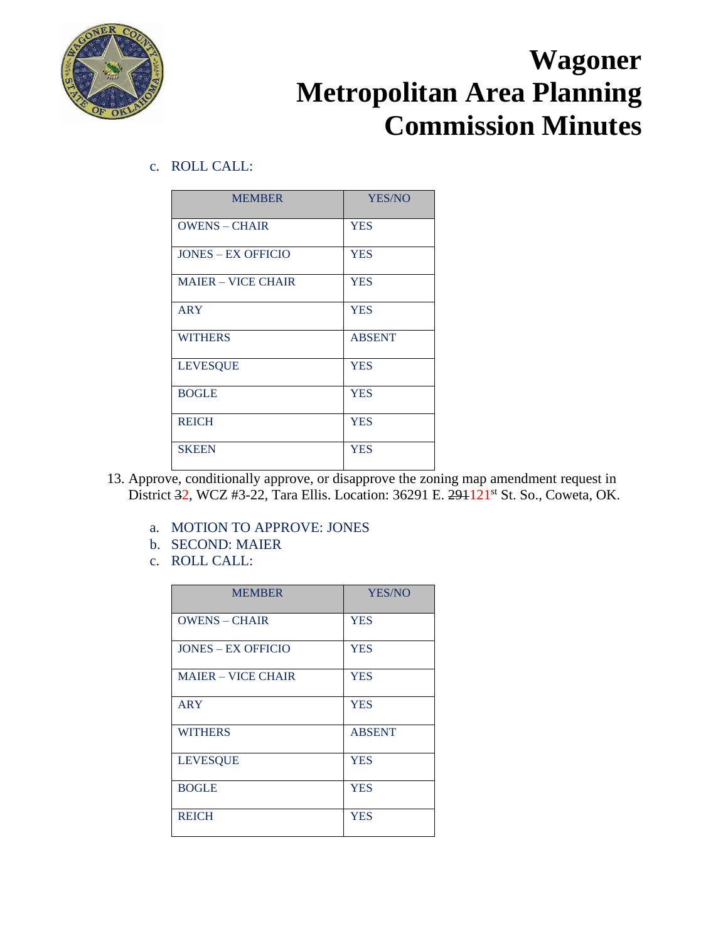

c. ROLL CALL:

| <b>MEMBER</b>             | YES/NO        |
|---------------------------|---------------|
| <b>OWENS - CHAIR</b>      | <b>YES</b>    |
| <b>JONES – EX OFFICIO</b> | <b>YES</b>    |
| <b>MAIER - VICE CHAIR</b> | <b>YES</b>    |
| <b>ARY</b>                | <b>YES</b>    |
| <b>WITHERS</b>            | <b>ABSENT</b> |
| <b>LEVESQUE</b>           | <b>YES</b>    |
| <b>BOGLE</b>              | <b>YES</b>    |
| <b>REICH</b>              | <b>YES</b>    |
| <b>SKEEN</b>              | <b>YES</b>    |

- 13. Approve, conditionally approve, or disapprove the zoning map amendment request in District 32, WCZ #3-22, Tara Ellis. Location: 36291 E. 291121<sup>st</sup> St. So., Coweta, OK.
	- a. MOTION TO APPROVE: JONES
	- b. SECOND: MAIER
	- c. ROLL CALL:

| <b>MEMBER</b>             | YES/NO        |
|---------------------------|---------------|
| <b>OWENS - CHAIR</b>      | <b>YES</b>    |
| <b>JONES – EX OFFICIO</b> | <b>YES</b>    |
| <b>MAIER – VICE CHAIR</b> | <b>YES</b>    |
| ARY                       | <b>YES</b>    |
| <b>WITHERS</b>            | <b>ABSENT</b> |
| <b>LEVESQUE</b>           | <b>YES</b>    |
| <b>BOGLE</b>              | <b>YES</b>    |
| <b>REICH</b>              | <b>YES</b>    |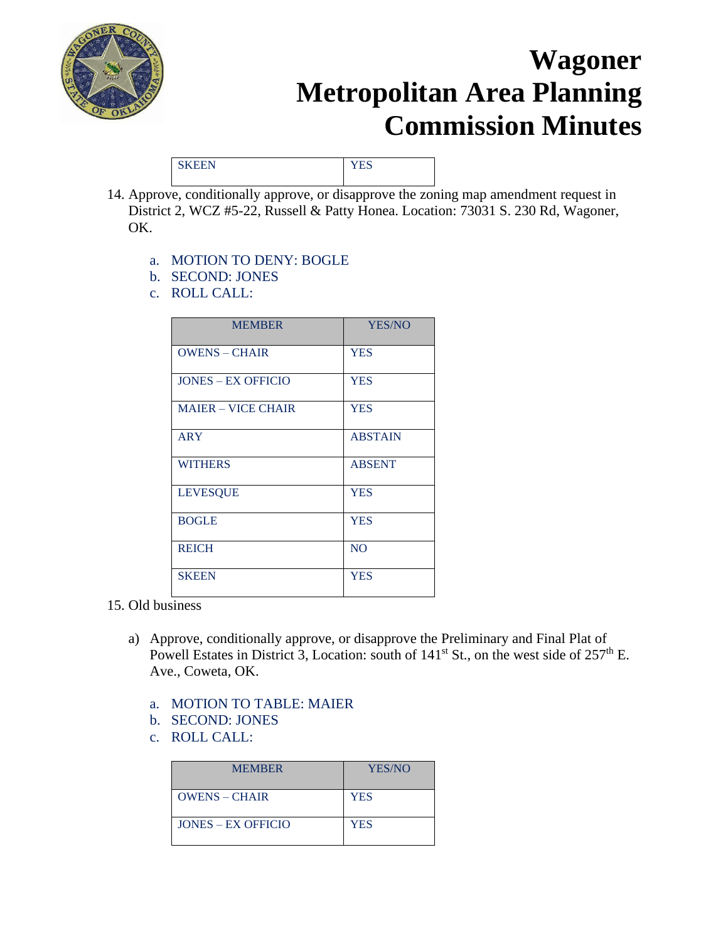

SKEEN YES

- 14. Approve, conditionally approve, or disapprove the zoning map amendment request in District 2, WCZ #5-22, Russell & Patty Honea. Location: 73031 S. 230 Rd, Wagoner, OK.
	- a. MOTION TO DENY: BOGLE
	- b. SECOND: JONES
	- c. ROLL CALL:

| <b>MEMBER</b>             | YES/NO         |
|---------------------------|----------------|
| <b>OWENS - CHAIR</b>      | <b>YES</b>     |
| <b>JONES – EX OFFICIO</b> | <b>YES</b>     |
| <b>MAIER - VICE CHAIR</b> | <b>YES</b>     |
| <b>ARY</b>                | <b>ABSTAIN</b> |
| <b>WITHERS</b>            | <b>ABSENT</b>  |
| <b>LEVESQUE</b>           | <b>YES</b>     |
| <b>BOGLE</b>              | <b>YES</b>     |
| <b>REICH</b>              | <b>NO</b>      |
| <b>SKEEN</b>              | <b>YES</b>     |

- 15. Old business
	- a) Approve, conditionally approve, or disapprove the Preliminary and Final Plat of Powell Estates in District 3, Location: south of  $141<sup>st</sup>$  St., on the west side of  $257<sup>th</sup>$  E. Ave., Coweta, OK.
		- a. MOTION TO TABLE: MAIER
		- b. SECOND: JONES
		- c. ROLL CALL:

| <b>MEMBER</b>        | YES/NO     |
|----------------------|------------|
| $OWENS - CHAIR$      | <b>YES</b> |
| $JONES - EX$ OFFICIO | <b>YES</b> |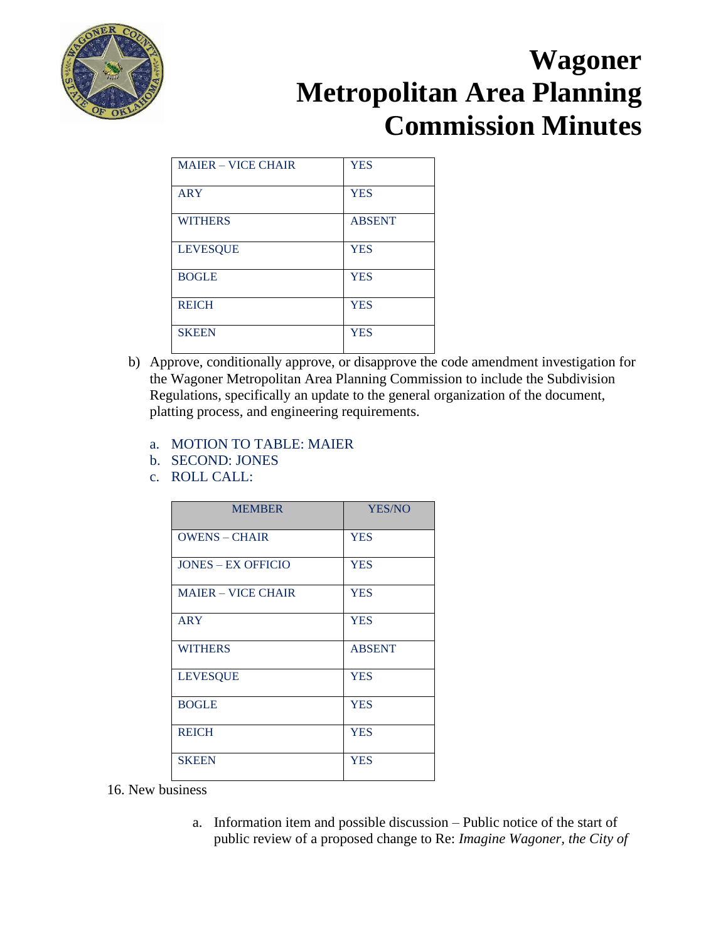

| <b>MAJER – VICE CHAIR</b> | <b>YES</b>    |
|---------------------------|---------------|
| <b>ARY</b>                | <b>YES</b>    |
| <b>WITHERS</b>            | <b>ABSENT</b> |
| <b>LEVESQUE</b>           | <b>YES</b>    |
| <b>BOGLE</b>              | <b>YES</b>    |
| <b>REICH</b>              | <b>YES</b>    |
| <b>SKEEN</b>              | <b>YES</b>    |

- b) Approve, conditionally approve, or disapprove the code amendment investigation for the Wagoner Metropolitan Area Planning Commission to include the Subdivision Regulations, specifically an update to the general organization of the document, platting process, and engineering requirements.
	- a. MOTION TO TABLE: MAIER
	- b. SECOND: JONES
	- c. ROLL CALL:

| <b>MEMBER</b>             | <b>YES/NO</b> |
|---------------------------|---------------|
| <b>OWENS - CHAIR</b>      | <b>YES</b>    |
| <b>JONES – EX OFFICIO</b> | <b>YES</b>    |
| <b>MAIER - VICE CHAIR</b> | <b>YES</b>    |
| <b>ARY</b>                | <b>YES</b>    |
| <b>WITHERS</b>            | <b>ABSENT</b> |
| <b>LEVESQUE</b>           | <b>YES</b>    |
| <b>BOGLE</b>              | <b>YES</b>    |
| <b>REICH</b>              | <b>YES</b>    |
| <b>SKEEN</b>              | <b>YES</b>    |

- 16. New business
	- a. Information item and possible discussion Public notice of the start of public review of a proposed change to Re: *Imagine Wagoner, the City of*